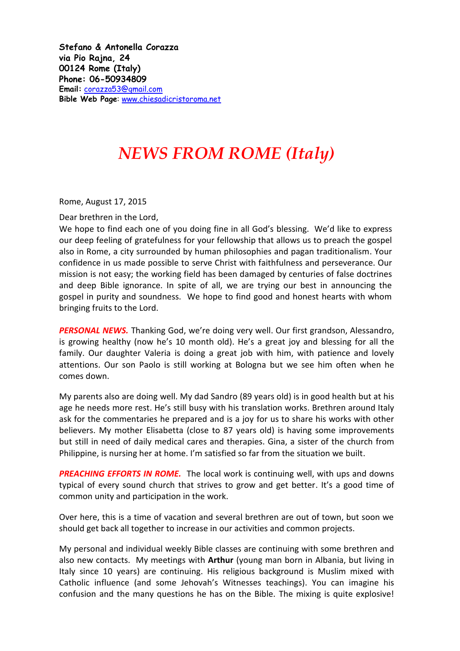**Stefano & Antonella Corazza via Pio Rajna, 24 00124 Rome (Italy) Phone: 06-50934809 Email:** [corazza53@gmail.com](mailto:corazza53@gmail.com) **Bible Web Page**: [www.chiesadicristoroma.net](http://www.chiesadicristoroma.net/)

## *NEWS FROM ROME (Italy)*

Rome, August 17, 2015

Dear brethren in the Lord,

We hope to find each one of you doing fine in all God's blessing. We'd like to express our deep feeling of gratefulness for your fellowship that allows us to preach the gospel also in Rome, a city surrounded by human philosophies and pagan traditionalism. Your confidence in us made possible to serve Christ with faithfulness and perseverance. Our mission is not easy; the working field has been damaged by centuries of false doctrines and deep Bible ignorance. In spite of all, we are trying our best in announcing the gospel in purity and soundness. We hope to find good and honest hearts with whom bringing fruits to the Lord.

*PERSONAL NEWS.* Thanking God, we're doing very well. Our first grandson, Alessandro, is growing healthy (now he's 10 month old). He's a great joy and blessing for all the family. Our daughter Valeria is doing a great job with him, with patience and lovely attentions. Our son Paolo is still working at Bologna but we see him often when he comes down.

My parents also are doing well. My dad Sandro (89 years old) is in good health but at his age he needs more rest. He's still busy with his translation works. Brethren around Italy ask for the commentaries he prepared and is a joy for us to share his works with other believers. My mother Elisabetta (close to 87 years old) is having some improvements but still in need of daily medical cares and therapies. Gina, a sister of the church from Philippine, is nursing her at home. I'm satisfied so far from the situation we built.

*PREACHING EFFORTS IN ROME.* The local work is continuing well, with ups and downs typical of every sound church that strives to grow and get better. It's a good time of common unity and participation in the work.

Over here, this is a time of vacation and several brethren are out of town, but soon we should get back all together to increase in our activities and common projects.

My personal and individual weekly Bible classes are continuing with some brethren and also new contacts. My meetings with **Arthur** (young man born in Albania, but living in Italy since 10 years) are continuing. His religious background is Muslim mixed with Catholic influence (and some Jehovah's Witnesses teachings). You can imagine his confusion and the many questions he has on the Bible. The mixing is quite explosive!